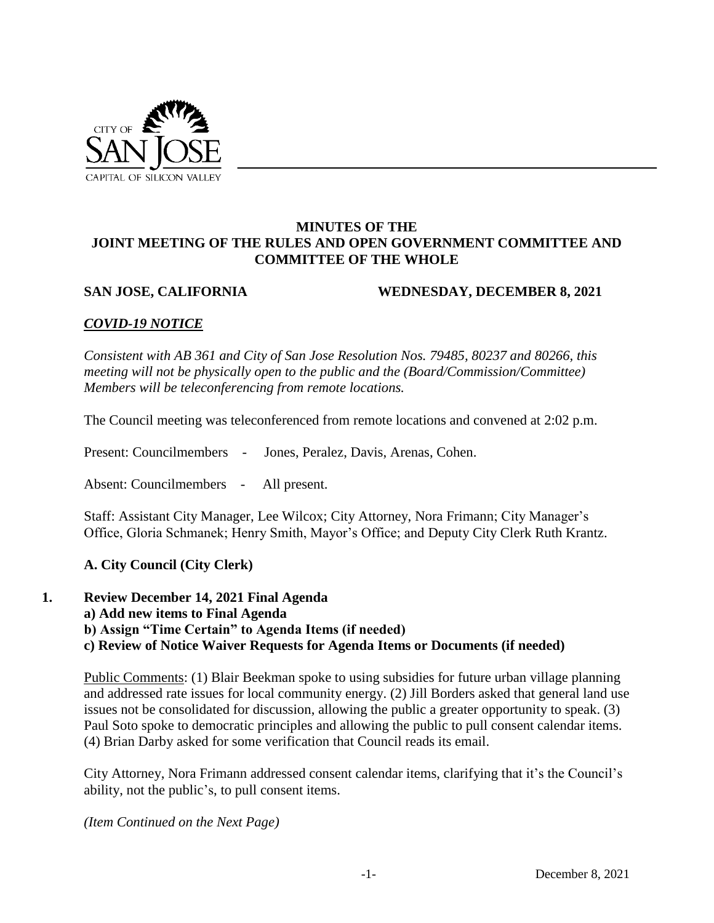

#### **MINUTES OF THE JOINT MEETING OF THE RULES AND OPEN GOVERNMENT COMMITTEE AND COMMITTEE OF THE WHOLE**

#### **SAN JOSE, CALIFORNIA WEDNESDAY, DECEMBER 8, 2021**

# *COVID-19 NOTICE*

*Consistent with AB 361 and City of San Jose Resolution Nos. 79485, 80237 and 80266, this meeting will not be physically open to the public and the (Board/Commission/Committee) Members will be teleconferencing from remote locations.*

The Council meeting was teleconferenced from remote locations and convened at 2:02 p.m.

Present: Councilmembers - Jones, Peralez, Davis, Arenas, Cohen.

Absent: Councilmembers - All present.

Staff: Assistant City Manager, Lee Wilcox; City Attorney, Nora Frimann; City Manager's Office, Gloria Schmanek; Henry Smith, Mayor's Office; and Deputy City Clerk Ruth Krantz.

#### **A. City Council (City Clerk)**

**1. Review December 14, 2021 Final Agenda** 

**a) Add new items to Final Agenda** 

**b) Assign "Time Certain" to Agenda Items (if needed)** 

**c) Review of Notice Waiver Requests for Agenda Items or Documents (if needed)** 

Public Comments: (1) Blair Beekman spoke to using subsidies for future urban village planning and addressed rate issues for local community energy. (2) Jill Borders asked that general land use issues not be consolidated for discussion, allowing the public a greater opportunity to speak. (3) Paul Soto spoke to democratic principles and allowing the public to pull consent calendar items. (4) Brian Darby asked for some verification that Council reads its email.

City Attorney, Nora Frimann addressed consent calendar items, clarifying that it's the Council's ability, not the public's, to pull consent items.

*(Item Continued on the Next Page)*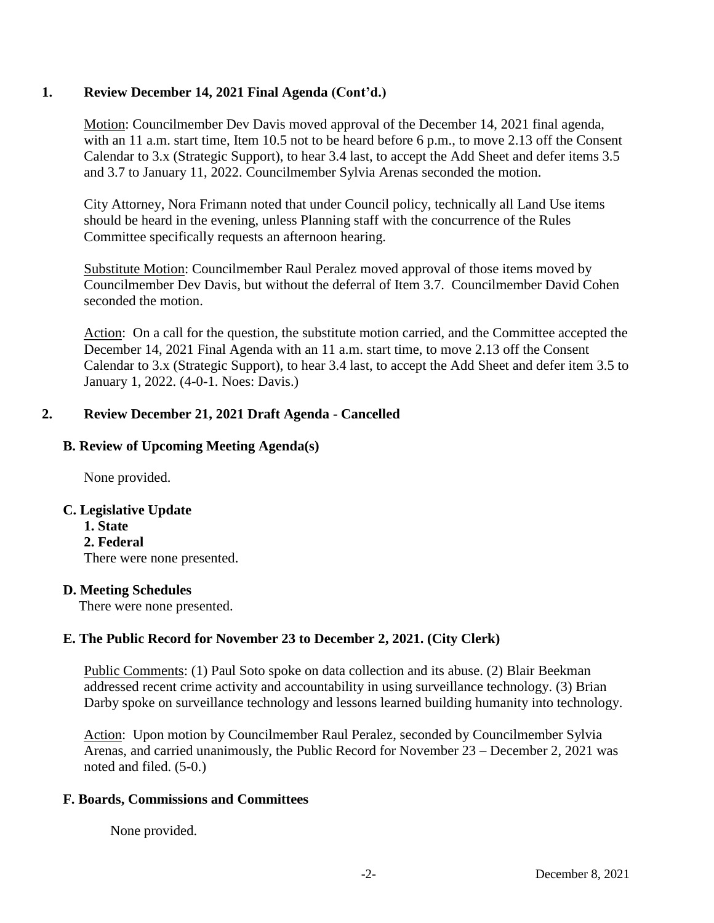# **1. Review December 14, 2021 Final Agenda (Cont'd.)**

Motion: Councilmember Dev Davis moved approval of the December 14, 2021 final agenda, with an 11 a.m. start time, Item 10.5 not to be heard before 6 p.m., to move 2.13 off the Consent Calendar to 3.x (Strategic Support), to hear 3.4 last, to accept the Add Sheet and defer items 3.5 and 3.7 to January 11, 2022. Councilmember Sylvia Arenas seconded the motion.

City Attorney, Nora Frimann noted that under Council policy, technically all Land Use items should be heard in the evening, unless Planning staff with the concurrence of the Rules Committee specifically requests an afternoon hearing.

Substitute Motion: Councilmember Raul Peralez moved approval of those items moved by Councilmember Dev Davis, but without the deferral of Item 3.7. Councilmember David Cohen seconded the motion.

Action: On a call for the question, the substitute motion carried, and the Committee accepted the December 14, 2021 Final Agenda with an 11 a.m. start time, to move 2.13 off the Consent Calendar to 3.x (Strategic Support), to hear 3.4 last, to accept the Add Sheet and defer item 3.5 to January 1, 2022. (4-0-1. Noes: Davis.)

# **2. Review December 21, 2021 Draft Agenda - Cancelled**

# **B. Review of Upcoming Meeting Agenda(s)**

None provided.

# **C. Legislative Update**

**1. State 2. Federal**  There were none presented.

# **D. Meeting Schedules**

There were none presented.

# **E. The Public Record for November 23 to December 2, 2021. (City Clerk)**

Public Comments: (1) Paul Soto spoke on data collection and its abuse. (2) Blair Beekman addressed recent crime activity and accountability in using surveillance technology. (3) Brian Darby spoke on surveillance technology and lessons learned building humanity into technology.

Action: Upon motion by Councilmember Raul Peralez, seconded by Councilmember Sylvia Arenas, and carried unanimously, the Public Record for November 23 – December 2, 2021 was noted and filed. (5-0.)

# **F. Boards, Commissions and Committees**

None provided.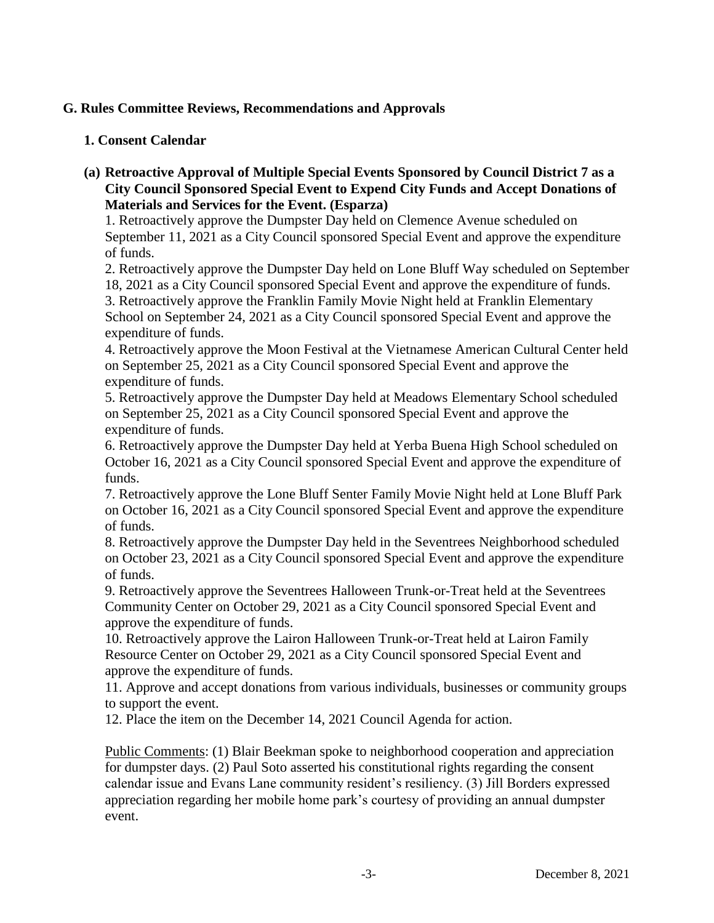# **G. Rules Committee Reviews, Recommendations and Approvals**

## **1. Consent Calendar**

**(a) Retroactive Approval of Multiple Special Events Sponsored by Council District 7 as a City Council Sponsored Special Event to Expend City Funds and Accept Donations of Materials and Services for the Event. (Esparza)**

1. Retroactively approve the Dumpster Day held on Clemence Avenue scheduled on September 11, 2021 as a City Council sponsored Special Event and approve the expenditure of funds.

2. Retroactively approve the Dumpster Day held on Lone Bluff Way scheduled on September 18, 2021 as a City Council sponsored Special Event and approve the expenditure of funds.

3. Retroactively approve the Franklin Family Movie Night held at Franklin Elementary School on September 24, 2021 as a City Council sponsored Special Event and approve the expenditure of funds.

4. Retroactively approve the Moon Festival at the Vietnamese American Cultural Center held on September 25, 2021 as a City Council sponsored Special Event and approve the expenditure of funds.

5. Retroactively approve the Dumpster Day held at Meadows Elementary School scheduled on September 25, 2021 as a City Council sponsored Special Event and approve the expenditure of funds.

6. Retroactively approve the Dumpster Day held at Yerba Buena High School scheduled on October 16, 2021 as a City Council sponsored Special Event and approve the expenditure of funds.

7. Retroactively approve the Lone Bluff Senter Family Movie Night held at Lone Bluff Park on October 16, 2021 as a City Council sponsored Special Event and approve the expenditure of funds.

8. Retroactively approve the Dumpster Day held in the Seventrees Neighborhood scheduled on October 23, 2021 as a City Council sponsored Special Event and approve the expenditure of funds.

9. Retroactively approve the Seventrees Halloween Trunk-or-Treat held at the Seventrees Community Center on October 29, 2021 as a City Council sponsored Special Event and approve the expenditure of funds.

10. Retroactively approve the Lairon Halloween Trunk-or-Treat held at Lairon Family Resource Center on October 29, 2021 as a City Council sponsored Special Event and approve the expenditure of funds.

11. Approve and accept donations from various individuals, businesses or community groups to support the event.

12. Place the item on the December 14, 2021 Council Agenda for action.

Public Comments: (1) Blair Beekman spoke to neighborhood cooperation and appreciation for dumpster days. (2) Paul Soto asserted his constitutional rights regarding the consent calendar issue and Evans Lane community resident's resiliency. (3) Jill Borders expressed appreciation regarding her mobile home park's courtesy of providing an annual dumpster event.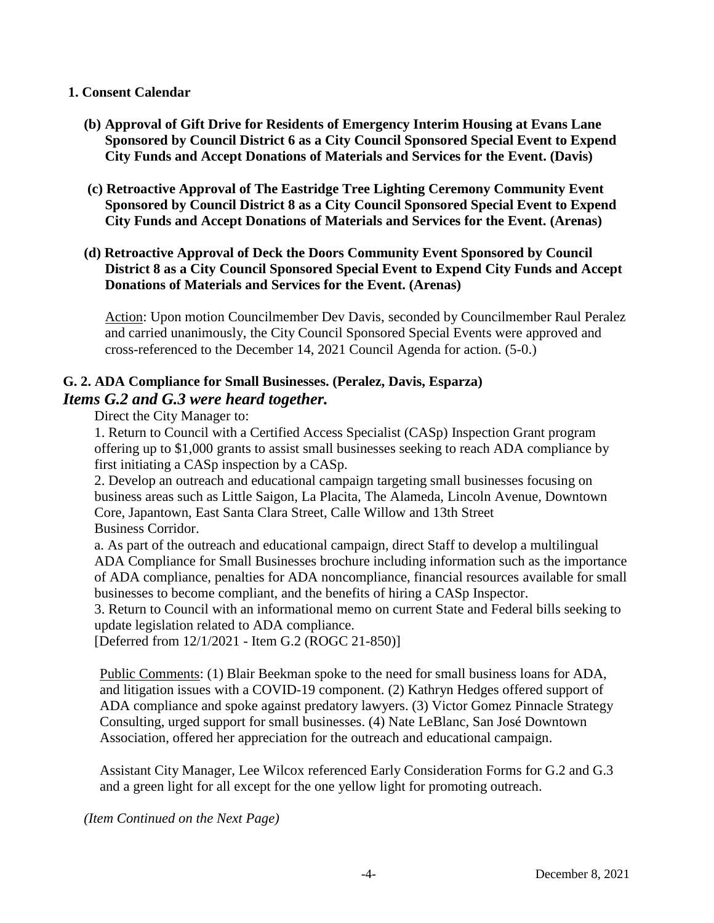#### **1. Consent Calendar**

- **(b) Approval of Gift Drive for Residents of Emergency Interim Housing at Evans Lane Sponsored by Council District 6 as a City Council Sponsored Special Event to Expend City Funds and Accept Donations of Materials and Services for the Event. (Davis)**
- **(c) Retroactive Approval of The Eastridge Tree Lighting Ceremony Community Event Sponsored by Council District 8 as a City Council Sponsored Special Event to Expend City Funds and Accept Donations of Materials and Services for the Event. (Arenas)**
- **(d) Retroactive Approval of Deck the Doors Community Event Sponsored by Council District 8 as a City Council Sponsored Special Event to Expend City Funds and Accept Donations of Materials and Services for the Event. (Arenas)**

Action: Upon motion Councilmember Dev Davis, seconded by Councilmember Raul Peralez and carried unanimously, the City Council Sponsored Special Events were approved and cross-referenced to the December 14, 2021 Council Agenda for action. (5-0.)

# **G. 2. ADA Compliance for Small Businesses. (Peralez, Davis, Esparza)** *Items G.2 and G.3 were heard together.*

Direct the City Manager to:

1. Return to Council with a Certified Access Specialist (CASp) Inspection Grant program offering up to \$1,000 grants to assist small businesses seeking to reach ADA compliance by first initiating a CASp inspection by a CASp.

2. Develop an outreach and educational campaign targeting small businesses focusing on business areas such as Little Saigon, La Placita, The Alameda, Lincoln Avenue, Downtown Core, Japantown, East Santa Clara Street, Calle Willow and 13th Street Business Corridor.

a. As part of the outreach and educational campaign, direct Staff to develop a multilingual ADA Compliance for Small Businesses brochure including information such as the importance of ADA compliance, penalties for ADA noncompliance, financial resources available for small businesses to become compliant, and the benefits of hiring a CASp Inspector.

3. Return to Council with an informational memo on current State and Federal bills seeking to update legislation related to ADA compliance.

[Deferred from 12/1/2021 - Item G.2 (ROGC 21-850)]

Public Comments: (1) Blair Beekman spoke to the need for small business loans for ADA, and litigation issues with a COVID-19 component. (2) Kathryn Hedges offered support of ADA compliance and spoke against predatory lawyers. (3) Victor Gomez Pinnacle Strategy Consulting, urged support for small businesses. (4) Nate LeBlanc, San José Downtown Association, offered her appreciation for the outreach and educational campaign.

Assistant City Manager, Lee Wilcox referenced Early Consideration Forms for G.2 and G.3 and a green light for all except for the one yellow light for promoting outreach.

*(Item Continued on the Next Page)*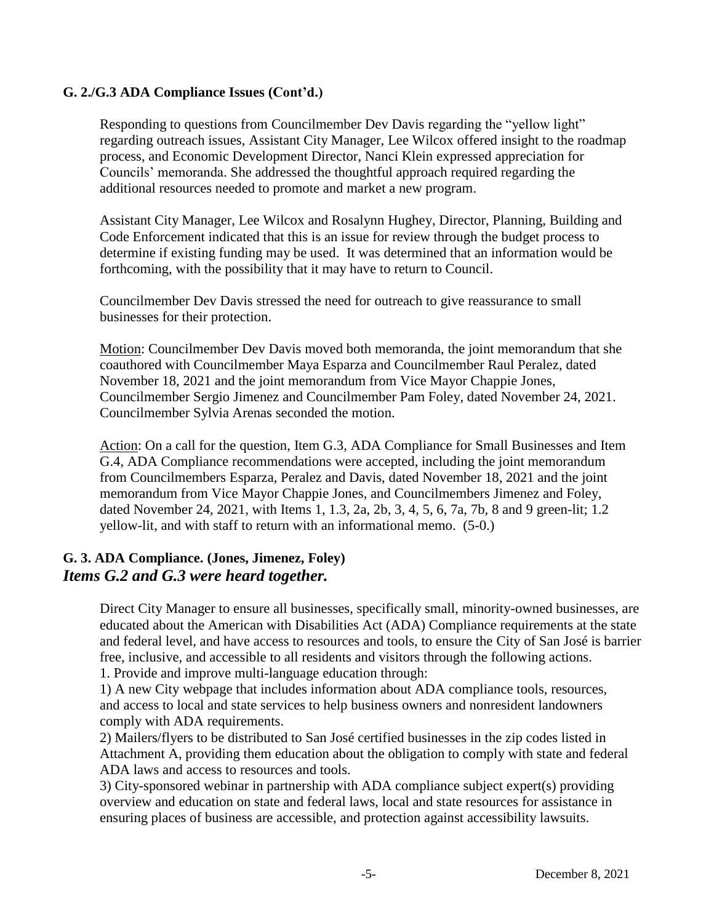# **G. 2./G.3 ADA Compliance Issues (Cont'd.)**

Responding to questions from Councilmember Dev Davis regarding the "yellow light" regarding outreach issues, Assistant City Manager, Lee Wilcox offered insight to the roadmap process, and Economic Development Director, Nanci Klein expressed appreciation for Councils' memoranda. She addressed the thoughtful approach required regarding the additional resources needed to promote and market a new program.

Assistant City Manager, Lee Wilcox and Rosalynn Hughey, Director, Planning, Building and Code Enforcement indicated that this is an issue for review through the budget process to determine if existing funding may be used. It was determined that an information would be forthcoming, with the possibility that it may have to return to Council.

Councilmember Dev Davis stressed the need for outreach to give reassurance to small businesses for their protection.

Motion: Councilmember Dev Davis moved both memoranda, the joint memorandum that she coauthored with Councilmember Maya Esparza and Councilmember Raul Peralez, dated November 18, 2021 and the joint memorandum from Vice Mayor Chappie Jones, Councilmember Sergio Jimenez and Councilmember Pam Foley, dated November 24, 2021. Councilmember Sylvia Arenas seconded the motion.

Action: On a call for the question, Item G.3, ADA Compliance for Small Businesses and Item G.4, ADA Compliance recommendations were accepted, including the joint memorandum from Councilmembers Esparza, Peralez and Davis, dated November 18, 2021 and the joint memorandum from Vice Mayor Chappie Jones, and Councilmembers Jimenez and Foley, dated November 24, 2021, with Items 1, 1.3, 2a, 2b, 3, 4, 5, 6, 7a, 7b, 8 and 9 green-lit; 1.2 yellow-lit, and with staff to return with an informational memo. (5-0.)

# **G. 3. ADA Compliance. (Jones, Jimenez, Foley)** *Items G.2 and G.3 were heard together.*

Direct City Manager to ensure all businesses, specifically small, minority-owned businesses, are educated about the American with Disabilities Act (ADA) Compliance requirements at the state and federal level, and have access to resources and tools, to ensure the City of San José is barrier free, inclusive, and accessible to all residents and visitors through the following actions.

1. Provide and improve multi-language education through:

1) A new City webpage that includes information about ADA compliance tools, resources, and access to local and state services to help business owners and nonresident landowners comply with ADA requirements.

2) Mailers/flyers to be distributed to San José certified businesses in the zip codes listed in Attachment A, providing them education about the obligation to comply with state and federal ADA laws and access to resources and tools.

3) City-sponsored webinar in partnership with ADA compliance subject expert(s) providing overview and education on state and federal laws, local and state resources for assistance in ensuring places of business are accessible, and protection against accessibility lawsuits.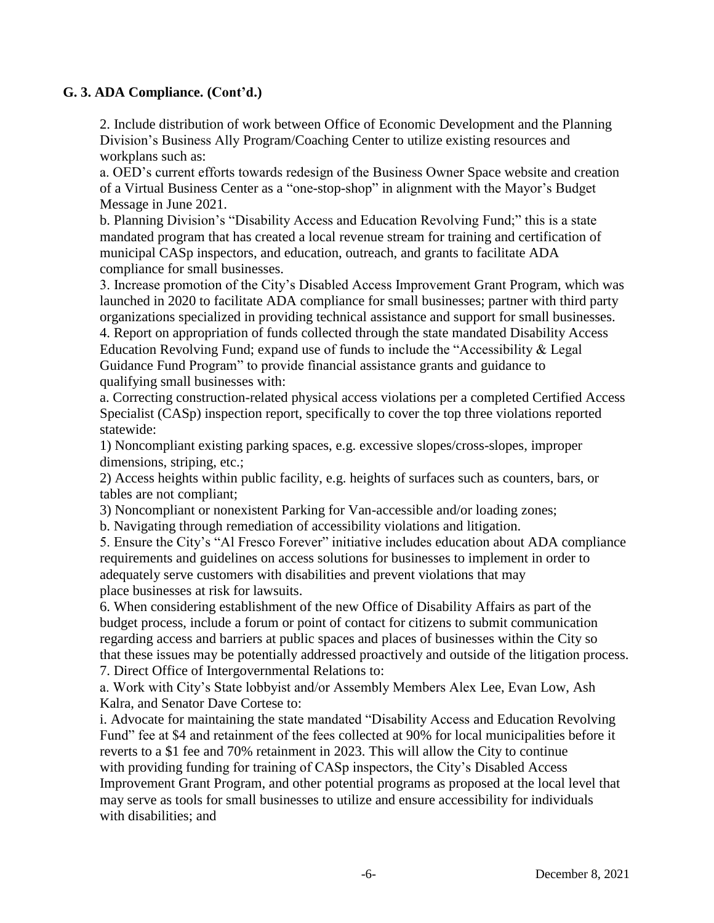# **G. 3. ADA Compliance. (Cont'd.)**

2. Include distribution of work between Office of Economic Development and the Planning Division's Business Ally Program/Coaching Center to utilize existing resources and workplans such as:

a. OED's current efforts towards redesign of the Business Owner Space website and creation of a Virtual Business Center as a "one-stop-shop" in alignment with the Mayor's Budget Message in June 2021.

b. Planning Division's "Disability Access and Education Revolving Fund;" this is a state mandated program that has created a local revenue stream for training and certification of municipal CASp inspectors, and education, outreach, and grants to facilitate ADA compliance for small businesses.

3. Increase promotion of the City's Disabled Access Improvement Grant Program, which was launched in 2020 to facilitate ADA compliance for small businesses; partner with third party organizations specialized in providing technical assistance and support for small businesses.

4. Report on appropriation of funds collected through the state mandated Disability Access Education Revolving Fund; expand use of funds to include the "Accessibility & Legal Guidance Fund Program" to provide financial assistance grants and guidance to qualifying small businesses with:

a. Correcting construction-related physical access violations per a completed Certified Access Specialist (CASp) inspection report, specifically to cover the top three violations reported statewide:

1) Noncompliant existing parking spaces, e.g. excessive slopes/cross-slopes, improper dimensions, striping, etc.;

2) Access heights within public facility, e.g. heights of surfaces such as counters, bars, or tables are not compliant;

3) Noncompliant or nonexistent Parking for Van-accessible and/or loading zones;

b. Navigating through remediation of accessibility violations and litigation.

5. Ensure the City's "Al Fresco Forever" initiative includes education about ADA compliance requirements and guidelines on access solutions for businesses to implement in order to adequately serve customers with disabilities and prevent violations that may place businesses at risk for lawsuits.

6. When considering establishment of the new Office of Disability Affairs as part of the budget process, include a forum or point of contact for citizens to submit communication regarding access and barriers at public spaces and places of businesses within the City so that these issues may be potentially addressed proactively and outside of the litigation process. 7. Direct Office of Intergovernmental Relations to:

a. Work with City's State lobbyist and/or Assembly Members Alex Lee, Evan Low, Ash Kalra, and Senator Dave Cortese to:

i. Advocate for maintaining the state mandated "Disability Access and Education Revolving Fund" fee at \$4 and retainment of the fees collected at 90% for local municipalities before it reverts to a \$1 fee and 70% retainment in 2023. This will allow the City to continue with providing funding for training of CASp inspectors, the City's Disabled Access Improvement Grant Program, and other potential programs as proposed at the local level that may serve as tools for small businesses to utilize and ensure accessibility for individuals with disabilities; and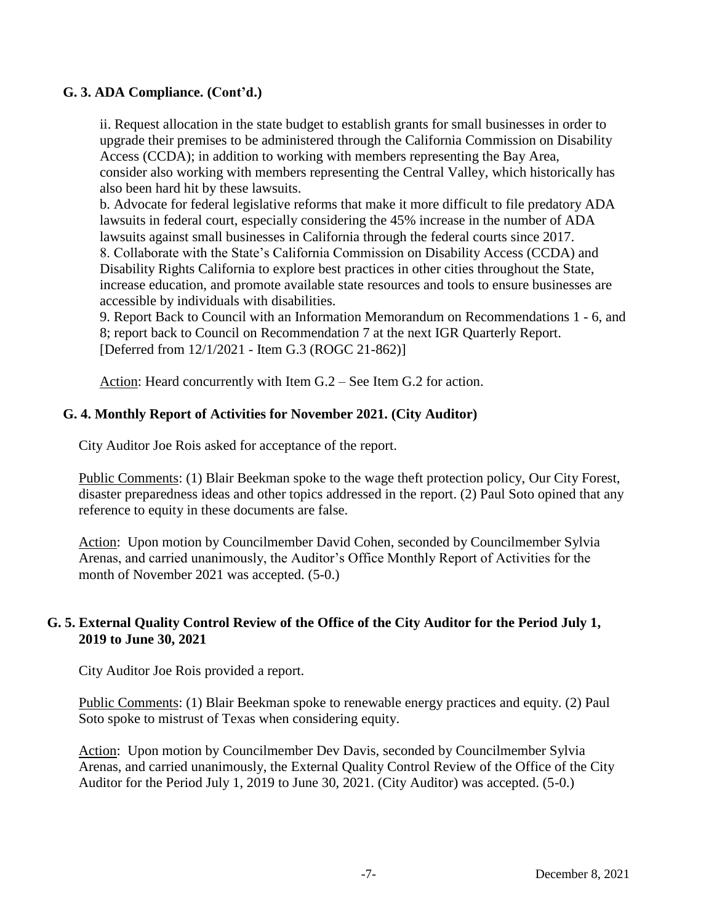# **G. 3. ADA Compliance. (Cont'd.)**

ii. Request allocation in the state budget to establish grants for small businesses in order to upgrade their premises to be administered through the California Commission on Disability Access (CCDA); in addition to working with members representing the Bay Area, consider also working with members representing the Central Valley, which historically has also been hard hit by these lawsuits.

b. Advocate for federal legislative reforms that make it more difficult to file predatory ADA lawsuits in federal court, especially considering the 45% increase in the number of ADA lawsuits against small businesses in California through the federal courts since 2017. 8. Collaborate with the State's California Commission on Disability Access (CCDA) and Disability Rights California to explore best practices in other cities throughout the State, increase education, and promote available state resources and tools to ensure businesses are accessible by individuals with disabilities.

9. Report Back to Council with an Information Memorandum on Recommendations 1 - 6, and 8; report back to Council on Recommendation 7 at the next IGR Quarterly Report. [Deferred from 12/1/2021 - Item G.3 (ROGC 21-862)]

Action: Heard concurrently with Item G.2 – See Item G.2 for action.

# **G. 4. Monthly Report of Activities for November 2021. (City Auditor)**

City Auditor Joe Rois asked for acceptance of the report.

Public Comments: (1) Blair Beekman spoke to the wage theft protection policy, Our City Forest, disaster preparedness ideas and other topics addressed in the report. (2) Paul Soto opined that any reference to equity in these documents are false.

Action: Upon motion by Councilmember David Cohen, seconded by Councilmember Sylvia Arenas, and carried unanimously, the Auditor's Office Monthly Report of Activities for the month of November 2021 was accepted.  $(5-0)$ .

### **G. 5. External Quality Control Review of the Office of the City Auditor for the Period July 1, 2019 to June 30, 2021**

City Auditor Joe Rois provided a report.

Public Comments: (1) Blair Beekman spoke to renewable energy practices and equity. (2) Paul Soto spoke to mistrust of Texas when considering equity.

Action: Upon motion by Councilmember Dev Davis, seconded by Councilmember Sylvia Arenas, and carried unanimously, the External Quality Control Review of the Office of the City Auditor for the Period July 1, 2019 to June 30, 2021. (City Auditor) was accepted. (5-0.)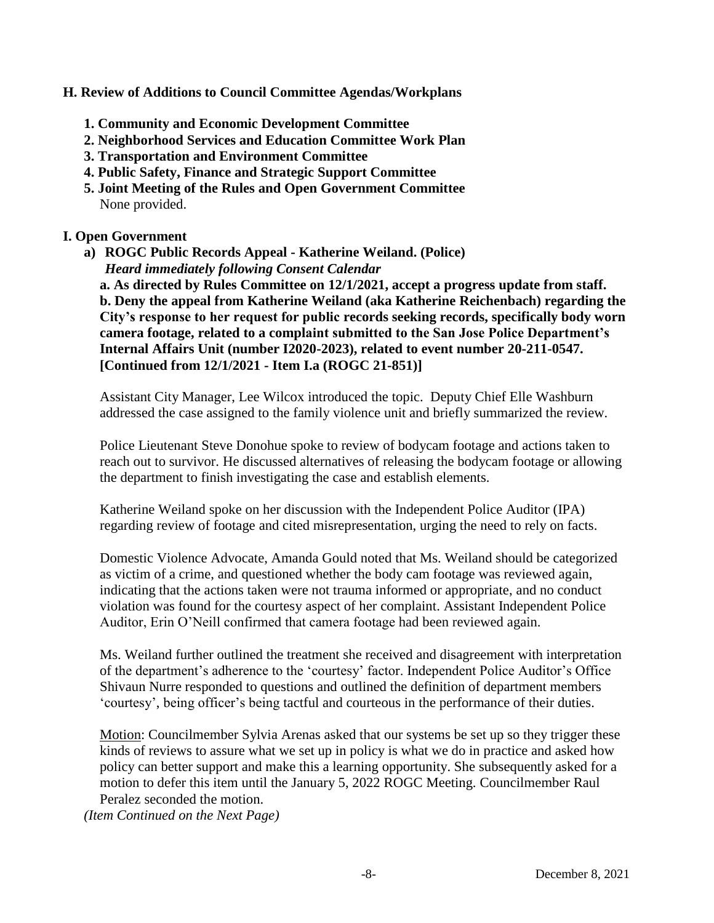#### **H. Review of Additions to Council Committee Agendas/Workplans**

- **1. Community and Economic Development Committee**
- **2. Neighborhood Services and Education Committee Work Plan**
- **3. Transportation and Environment Committee**
- **4. Public Safety, Finance and Strategic Support Committee**
- **5. Joint Meeting of the Rules and Open Government Committee**  None provided.

### **I. Open Government**

**a) ROGC Public Records Appeal - Katherine Weiland. (Police)** *Heard immediately following Consent Calendar*

**a. As directed by Rules Committee on 12/1/2021, accept a progress update from staff. b. Deny the appeal from Katherine Weiland (aka Katherine Reichenbach) regarding the City's response to her request for public records seeking records, specifically body worn camera footage, related to a complaint submitted to the San Jose Police Department's Internal Affairs Unit (number I2020-2023), related to event number 20-211-0547. [Continued from 12/1/2021 - Item I.a (ROGC 21-851)]**

Assistant City Manager, Lee Wilcox introduced the topic. Deputy Chief Elle Washburn addressed the case assigned to the family violence unit and briefly summarized the review.

Police Lieutenant Steve Donohue spoke to review of bodycam footage and actions taken to reach out to survivor. He discussed alternatives of releasing the bodycam footage or allowing the department to finish investigating the case and establish elements.

Katherine Weiland spoke on her discussion with the Independent Police Auditor (IPA) regarding review of footage and cited misrepresentation, urging the need to rely on facts.

Domestic Violence Advocate, Amanda Gould noted that Ms. Weiland should be categorized as victim of a crime, and questioned whether the body cam footage was reviewed again, indicating that the actions taken were not trauma informed or appropriate, and no conduct violation was found for the courtesy aspect of her complaint. Assistant Independent Police Auditor, Erin O'Neill confirmed that camera footage had been reviewed again.

Ms. Weiland further outlined the treatment she received and disagreement with interpretation of the department's adherence to the 'courtesy' factor. Independent Police Auditor's Office Shivaun Nurre responded to questions and outlined the definition of department members 'courtesy', being officer's being tactful and courteous in the performance of their duties.

Motion: Councilmember Sylvia Arenas asked that our systems be set up so they trigger these kinds of reviews to assure what we set up in policy is what we do in practice and asked how policy can better support and make this a learning opportunity. She subsequently asked for a motion to defer this item until the January 5, 2022 ROGC Meeting. Councilmember Raul Peralez seconded the motion.

*(Item Continued on the Next Page)*